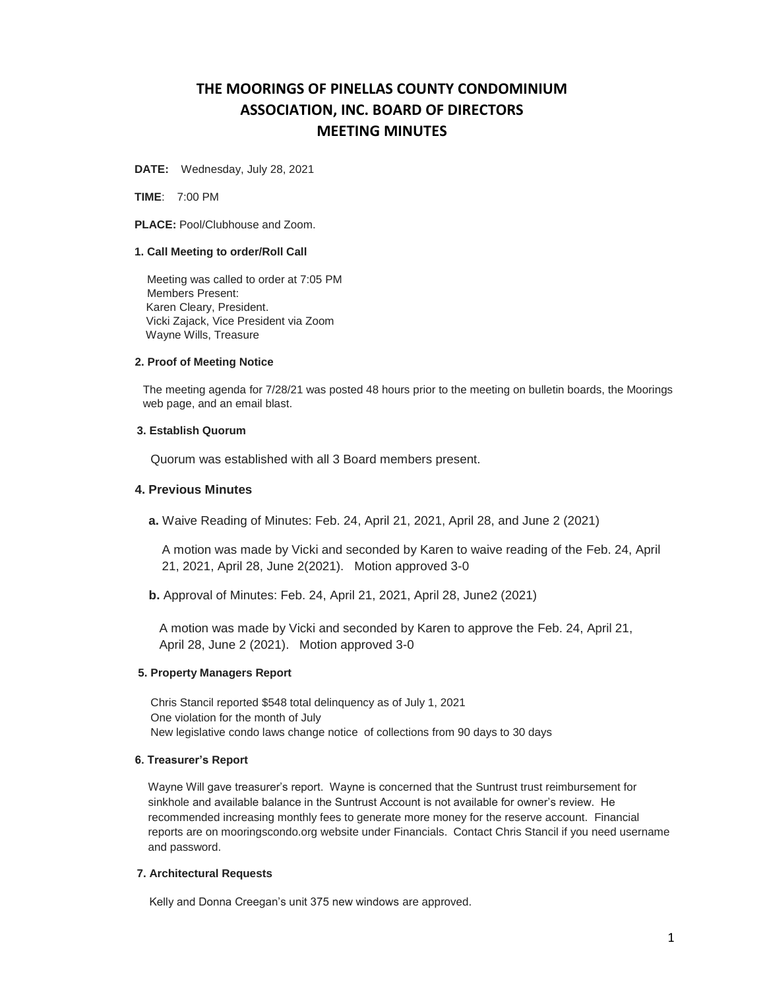# **THE MOORINGS OF PINELLAS COUNTY CONDOMINIUM ASSOCIATION, INC. BOARD OF DIRECTORS MEETING MINUTES**

**DATE:** Wednesday, July 28, 2021

**TIME**: 7:00 PM

**PLACE:** Pool/Clubhouse and Zoom.

### **1. Call Meeting to order/Roll Call**

 Meeting was called to order at 7:05 PM Members Present: Karen Cleary, President. Vicki Zajack, Vice President via Zoom Wayne Wills, Treasure

## **2. Proof of Meeting Notice**

The meeting agenda for 7/28/21 was posted 48 hours prior to the meeting on bulletin boards, the Moorings web page, and an email blast.

# **3. Establish Quorum**

Quorum was established with all 3 Board members present.

# **4. Previous Minutes**

**a.** Waive Reading of Minutes: Feb. 24, April 21, 2021, April 28, and June 2 (2021)

A motion was made by Vicki and seconded by Karen to waive reading of the Feb. 24, April 21, 2021, April 28, June 2(2021). Motion approved 3-0

 **b.** Approval of Minutes: Feb. 24, April 21, 2021, April 28, June2 (2021)

 A motion was made by Vicki and seconded by Karen to approve the Feb. 24, April 21, April 28, June 2 (2021). Motion approved 3-0

#### **5. Property Managers Report**

 Chris Stancil reported \$548 total delinquency as of July 1, 2021 One violation for the month of July New legislative condo laws change notice of collections from 90 days to 30 days

## **6. Treasurer's Report**

Wayne Will gave treasurer's report. Wayne is concerned that the Suntrust trust reimbursement for sinkhole and available balance in the Suntrust Account is not available for owner's review. He recommended increasing monthly fees to generate more money for the reserve account. Financial reports are on mooringscondo.org website under Financials. Contact Chris Stancil if you need username and password.

# **7. Architectural Requests**

Kelly and Donna Creegan's unit 375 new windows are approved.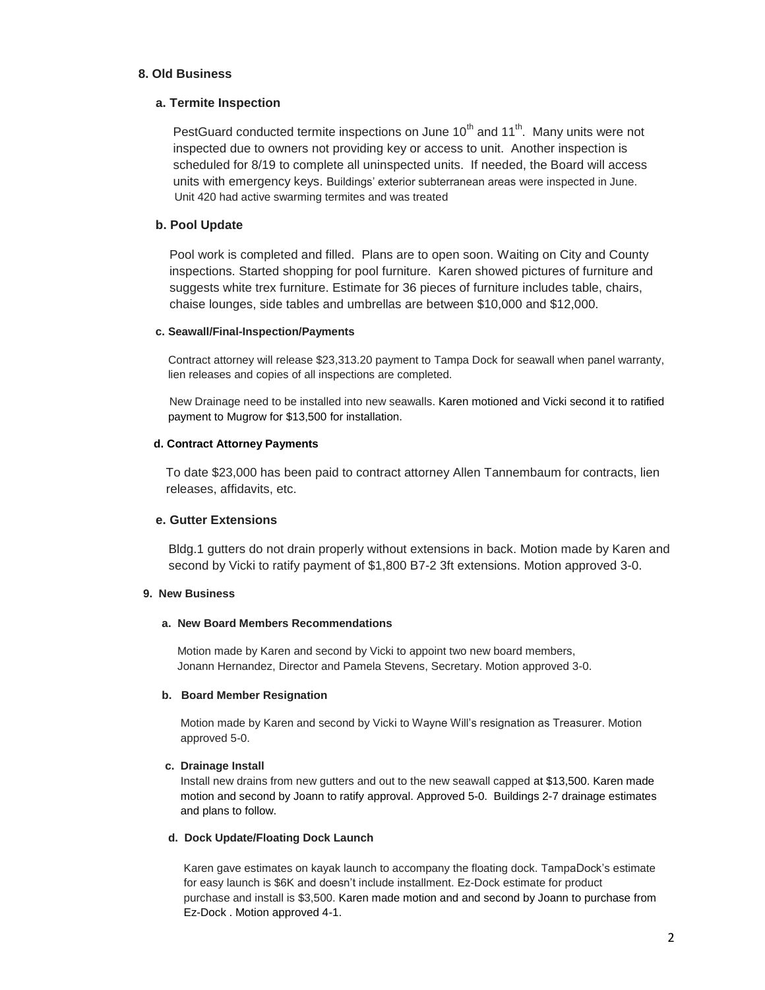# **8. Old Business**

# **a. Termite Inspection**

PestGuard conducted termite inspections on June  $10^{th}$  and  $11^{th}$ . Many units were not inspected due to owners not providing key or access to unit. Another inspection is scheduled for 8/19 to complete all uninspected units. If needed, the Board will access units with emergency keys. Buildings' exterior subterranean areas were inspected in June. Unit 420 had active swarming termites and was treated

# **b. Pool Update**

 Pool work is completed and filled. Plans are to open soon. Waiting on City and County inspections. Started shopping for pool furniture. Karen showed pictures of furniture and suggests white trex furniture. Estimate for 36 pieces of furniture includes table, chairs, chaise lounges, side tables and umbrellas are between \$10,000 and \$12,000.

# **c. Seawall/Final-Inspection/Payments**

Contract attorney will release \$23,313.20 payment to Tampa Dock for seawall when panel warranty, lien releases and copies of all inspections are completed.

 New Drainage need to be installed into new seawalls. Karen motioned and Vicki second it to ratified payment to Mugrow for \$13,500 for installation.

# **d. Contract Attorney Payments**

 To date \$23,000 has been paid to contract attorney Allen Tannembaum for contracts, lien releases, affidavits, etc.

# **e. Gutter Extensions**

Bldg.1 gutters do not drain properly without extensions in back. Motion made by Karen and second by Vicki to ratify payment of \$1,800 B7-2 3ft extensions. Motion approved 3-0.

# **9. New Business**

## **a. New Board Members Recommendations**

 Motion made by Karen and second by Vicki to appoint two new board members, Jonann Hernandez, Director and Pamela Stevens, Secretary. Motion approved 3-0.

## **b. Board Member Resignation**

 Motion made by Karen and second by Vicki to Wayne Will's resignation as Treasurer. Motion approved 5-0.

## **c. Drainage Install**

Install new drains from new gutters and out to the new seawall capped at \$13,500. Karen made motion and second by Joann to ratify approval. Approved 5-0. Buildings 2-7 drainage estimates and plans to follow.

## **d. Dock Update/Floating Dock Launch**

Karen gave estimates on kayak launch to accompany the floating dock. TampaDock's estimate for easy launch is \$6K and doesn't include installment. Ez-Dock estimate for product purchase and install is \$3,500. Karen made motion and and second by Joann to purchase from Ez-Dock . Motion approved 4-1.